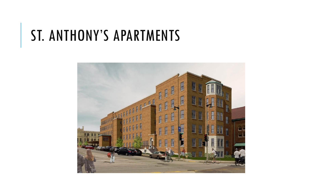## ST. ANTHONY'S APARTMENTS

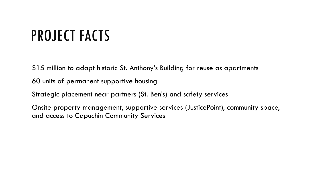# PROJECT FACTS

\$15 million to adapt historic St. Anthony's Building for reuse as apartments

60 units of permanent supportive housing

Strategic placement near partners (St. Ben's) and safety services

Onsite property management, supportive services (JusticePoint), community space, and access to Capuchin Community Services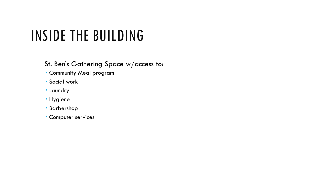## INSIDE THE BUILDING

St. Ben's Gathering Space w/access to:

- Community Meal program
- Social work
- Laundry
- Hygiene
- Barbershop
- **Computer services**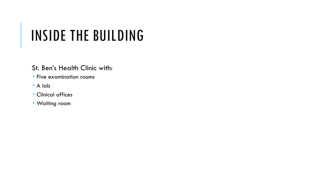## INSIDE THE BUILDING

#### St. Ben's Health Clinic with:

- **Five examination rooms**
- A lab
- Clinical offices
- Waiting room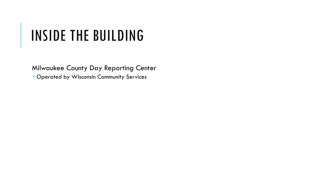## INSIDE THE BUILDING

Milwaukee County Day Reporting Center

Operated by Wisconsin Community Services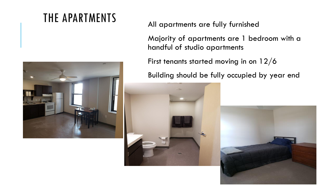### THE APARTMENTS All apartments are fully furnished



Majority of apartments are 1 bedroom with a handful of studio apartments

First tenants started moving in on 12/6

Building should be fully occupied by year end



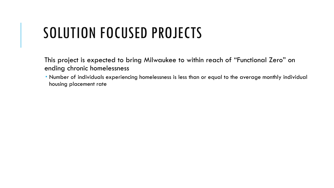## SOLUTION FOCUSED PROJECTS

This project is expected to bring Milwaukee to within reach of "Functional Zero" on ending chronic homelessness

 Number of individuals experiencing homelessness is less than or equal to the average monthly individual housing placement rate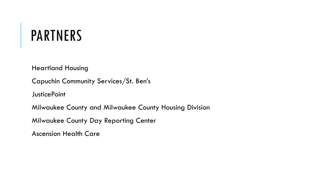### PARTNERS

Heartland Housing

Capuchin Community Services/St. Ben's

**JusticePoint** 

Milwaukee County and Milwaukee County Housing Division

Milwaukee County Day Reporting Center

Ascension Health Care